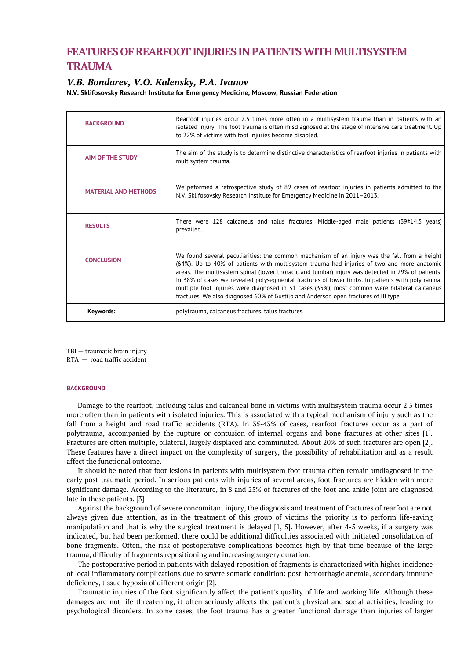# **FEATURES OF REARFOOTINJURIES IN PATIENTSWITH MULTISYSTEM TRAUMA**

# *V.B. Bondarev, V.O. Kalensky, P.A. Ivanov*

**N.V. Sklifosovsky Research Institute for Emergency Medicine, Moscow, Russian Federation**

| <b>BACKGROUND</b>           | Rearfoot injuries occur 2.5 times more often in a multisystem trauma than in patients with an<br>isolated injury. The foot trauma is often misdiagnosed at the stage of intensive care treatment. Up<br>to 22% of victims with foot injuries become disabled.                                                                                                                                                                                                                                                                                                                                |
|-----------------------------|----------------------------------------------------------------------------------------------------------------------------------------------------------------------------------------------------------------------------------------------------------------------------------------------------------------------------------------------------------------------------------------------------------------------------------------------------------------------------------------------------------------------------------------------------------------------------------------------|
| <b>AIM OF THE STUDY</b>     | The aim of the study is to determine distinctive characteristics of rearfoot injuries in patients with<br>multisystem trauma.                                                                                                                                                                                                                                                                                                                                                                                                                                                                |
| <b>MATERIAL AND METHODS</b> | We peformed a retrospective study of 89 cases of rearfoot injuries in patients admitted to the<br>N.V. Sklifosovsky Research Institute for Emergency Medicine in 2011-2013.                                                                                                                                                                                                                                                                                                                                                                                                                  |
| <b>RESULTS</b>              | There were 128 calcaneus and talus fractures. Middle-aged male patients $(39\pm14.5 \text{ years})$<br>prevailed.                                                                                                                                                                                                                                                                                                                                                                                                                                                                            |
| <b>CONCLUSION</b>           | We found several peculiarities: the common mechanism of an injury was the fall from a height<br>(64%). Up to 40% of patients with multisystem trauma had injuries of two and more anatomic<br>areas. The multisystem spinal (lower thoracic and lumbar) injury was detected in 29% of patients.<br>In 38% of cases we revealed polysegmental fractures of lower limbs. In patients with polytrauma,<br>multiple foot injuries were diagnosed in 31 cases (35%), most common were bilateral calcaneus<br>fractures. We also diagnosed 60% of Gustilo and Anderson open fractures of III type. |
| Keywords:                   | polytrauma, calcaneus fractures, talus fractures.                                                                                                                                                                                                                                                                                                                                                                                                                                                                                                                                            |

TBI — traumatic brain injury

RTA — road traffic accident

# **BACKGROUND**

Damage to the rearfoot, including talus and calcaneal bone in victims with multisystem trauma occur 2.5 times more often than in patients with isolated injuries. This is associated with a typical mechanism of injury such as the fall from a height and road traffic accidents (RTA). In 35-43% of cases, rearfoot fractures occur as a part of polytrauma, accompanied by the rupture or contusion of internal organs and bone fractures at other sites [1]. Fractures are often multiple, bilateral, largely displaced and comminuted. About 20% of such fractures are open [2]. These features have a direct impact on the complexity of surgery, the possibility of rehabilitation and as a result affect the functional outcome.

It should be noted that foot lesions in patients with multisystem foot trauma often remain undiagnosed in the early post-traumatic period. In serious patients with injuries of several areas, foot fractures are hidden with more significant damage. According to the literature, in 8 and 25% of fractures of the foot and ankle joint are diagnosed late in these patients. [3]

Against the background of severe concomitant injury, the diagnosis and treatment of fractures of rearfoot are not always given due attention, as in the treatment of this group of victims the priority is to perform life-saving manipulation and that is why the surgical treatment is delayed [1, 5]. However, after 4-5 weeks, if a surgery was indicated, but had been performed, there could be additional difficulties associated with initiated consolidation of bone fragments. Often, the risk of postoperative complications becomes high by that time because of the large trauma, difficulty of fragments repositioning and increasing surgery duration.

The postoperative period in patients with delayed reposition of fragments is characterized with higher incidence of local inflammatory complications due to severe somatic condition: post-hemorrhagic anemia, secondary immune deficiency, tissue hypoxia of different origin [2].

Traumatic injuries of the foot significantly affect the patient's quality of life and working life. Although these damages are not life threatening, it often seriously affects the patient's physical and social activities, leading to psychological disorders. In some cases, the foot trauma has a greater functional damage than injuries of larger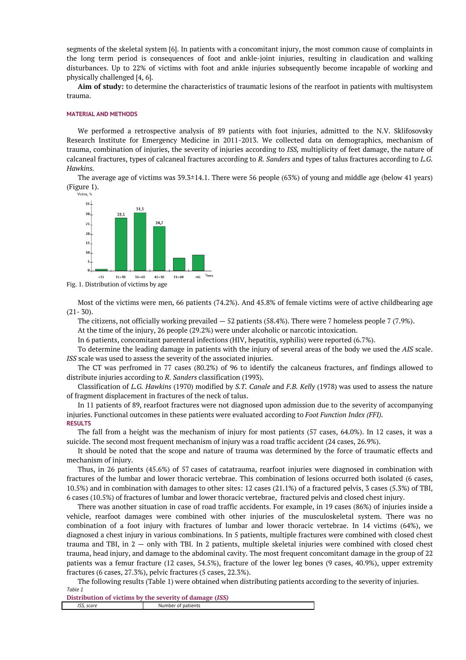segments of the skeletal system [6]. In patients with a concomitant injury, the most common cause of complaints in the long term period is consequences of foot and ankle-joint injuries, resulting in claudication and walking disturbances. Up to 22% of victims with foot and ankle injuries subsequently become incapable of working and physically challenged [4, 6].

**Aim of study:** to determine the characteristics of traumatic lesions of the rearfoot in patients with multisystem trauma.

#### **MATERIAL AND METHODS**

We performed a retrospective analysis of 89 patients with foot injuries, admitted to the N.V. Sklifosovsky Research Institute for Emergency Medicine in 2011-2013. We collected data on demographics, mechanism of trauma, combination of injuries, the severity of injuries according to *ISS,* multiplicity of feet damage, the nature of calcaneal fractures, types of calcaneal fractures according to *R. Sanders* and types of talus fractures according to *L.G. Hawkins.*

The average age of victims was 39.3±14.1. There were 56 people (63%) of young and middle age (below 41 years) (Figure 1).



Fig. 1. Distribution of victims by age

Most of the victims were men, 66 patients (74.2%). And 45.8% of female victims were of active childbearing age  $(21 - 30)$ .

The citizens, not officially working prevailed — 52 patients (58.4%). There were 7 homeless people 7 (7.9%).

At the time of the injury, 26 people (29.2%) were under alcoholic or narcotic intoxication.

In 6 patients, concomitant parenteral infections (HIV, hepatitis, syphilis) were reported (6.7%).

To determine the leading damage in patients with the injury of several areas of the body we used the *AIS* scale. *ISS* scale was used to assess the severity of the associated injuries.

The CT was perfromed in 77 cases (80.2%) of 96 to identify the calcaneus fractures, anf findings allowed to distribute injuries according to *R. Sanders* classification (1993).

Classification of *L.G. Hawkins* (1970) modified by *S.T. Canale* and *F.B. Kelly* (1978) was used to assess the nature of fragment displacement in fractures of the neck of talus.

In 11 patients of 89, rearfoot fractures were not diagnosed upon admission due to the severity of accompanying injuries. Functional outcomes in these patients were evaluated according to *Foot Function Index (FFI).* **RESULTS**

The fall from a height was the mechanism of injury for most patients (57 cases, 64.0%). In 12 cases, it was a suicide. The second most frequent mechanism of injury was a road traffic accident (24 cases, 26.9%).

It should be noted that the scope and nature of trauma was determined by the force of traumatic effects and mechanism of injury.

Thus, in 26 patients (45.6%) of 57 cases of catatrauma, rearfoot injuries were diagnosed in combination with fractures of the lumbar and lower thoracic vertebrae. This combination of lesions occurred both isolated (6 cases, 10.5%) and in combination with damages to other sites: 12 cases (21.1%) of a fractured pelvis, 3 cases (5.3%) of TBI, 6 cases (10.5%) of fractures of lumbar and lower thoracic vertebrae, fractured pelvis and closed chest injury.

There was another situation in case of road traffic accidents. For example, in 19 cases (86%) of injuries inside a vehicle, rearfoot damages were combined with other injuries of the musculoskeletal system. There was no combination of a foot injury with fractures of lumbar and lower thoracic vertebrae. In 14 victims (64%), we diagnosed a chest injury in various combinations. In 5 patients, multiple fractures were combined with closed chest trauma and TBI, in 2 — only with TBI. In 2 patients, multiple skeletal injuries were combined with closed chest trauma, head injury, and damage to the abdominal cavity. The most frequent concomitant damage in the group of 22 patients was a femur fracture (12 cases, 54.5%), fracture of the lower leg bones (9 cases, 40.9%), upper extremity fractures (6 cases, 27.3%), pelvic fractures (5 cases, 22.3%).

The following results (Table 1) were obtained when distributing patients according to the severity of injuries. *Table 1*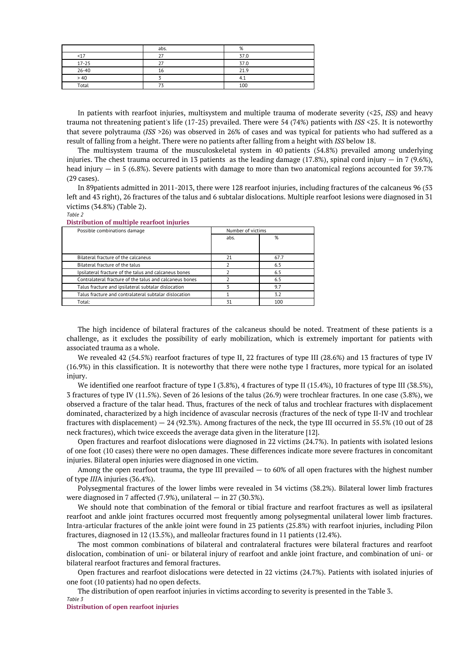|           | abs. | %    |
|-----------|------|------|
| < 17      |      | 37.0 |
| $17 - 25$ |      | 37.0 |
| $26 - 40$ | 16   | 21.9 |
| > 40      |      | 4.,  |
| Total     |      | 100  |

In patients with rearfoot injuries, multisystem and multiple trauma of moderate severity (<25, *ISS)* and heavy trauma not threatening patient's life (17-25) prevailed. There were 54 (74%) patients with *ISS* <25. It is noteworthy that severe polytrauma (*ISS* >26) was observed in 26% of cases and was typical for patients who had suffered as a result of falling from a height. There were no patients after falling from a height with *ISS* below 18.

The multisystem trauma of the musculoskeletal system in 40 patients (54.8%) prevailed among underlying injuries. The chest trauma occurred in 13 patients as the leading damage (17.8%), spinal cord injury  $-$  in 7 (9.6%), head injury  $-$  in 5 (6.8%). Severe patients with damage to more than two anatomical regions accounted for 39.7% (29 cases).

In 89patients admitted in 2011-2013, there were 128 rearfoot injuries, including fractures of the calcaneus 96 (53 left and 43 right), 26 fractures of the talus and 6 subtalar dislocations. Multiple rearfoot lesions were diagnosed in 31 victims (34.8%) (Table 2).

*Table 2*

| Possible combinations damage                            | Number of victims |      |
|---------------------------------------------------------|-------------------|------|
|                                                         | abs.              | %    |
|                                                         |                   |      |
|                                                         |                   |      |
| Bilateral fracture of the calcaneus                     | 21                | 67.7 |
| Bilateral fracture of the talus                         |                   | 6.5  |
| Ipsilateral fracture of the talus and calcaneus bones   |                   | 6.5  |
| Contralateral fracture of the talus and calcaneus bones |                   | 6.5  |
| Talus fracture and ipsilateral subtalar dislocation     |                   | 9.7  |
| Talus fracture and contralateral subtalar dislocation   |                   | 3.2  |
| Total:                                                  | 31                | 100  |

**Distribution of multiple rearfoot injuries**

The high incidence of bilateral fractures of the calcaneus should be noted. Treatment of these patients is a challenge, as it excludes the possibility of early mobilization, which is extremely important for patients with associated trauma as a whole.

We revealed 42 (54.5%) rearfoot fractures of type II, 22 fractures of type III (28.6%) and 13 fractures of type IV (16.9%) in this classification. It is noteworthy that there were nothe type I fractures, more typical for an isolated injury.

We identified one rearfoot fracture of type I (3.8%), 4 fractures of type II (15.4%), 10 fractures of type III (38.5%), 3 fractures of type IV (11.5%). Seven of 26 lesions of the talus (26.9) were trochlear fractures. In one case (3.8%), we observed a fracture of the talar head. Thus, fractures of the neck of talus and trochlear fractures with displacement dominated, characterized by a high incidence of avascular necrosis (fractures of the neck of type II-IV and trochlear fractures with displacement) — 24 (92.3%). Among fractures of the neck, the type III occurred in 55.5% (10 out of 28 neck fractures), which twice exceeds the average data given in the literature [12].

Open fractures and rearfoot dislocations were diagnosed in 22 victims (24.7%). In patients with isolated lesions of one foot (10 cases) there were no open damages. These differences indicate more severe fractures in concomitant injuries. Bilateral open injuries were diagnosed in one victim.

Among the open rearfoot trauma, the type III prevailed  $-$  to 60% of all open fractures with the highest number of type *III*A injuries (36.4%).

Polysegmental fractures of the lower limbs were revealed in 34 victims (38.2%). Bilateral lower limb fractures were diagnosed in 7 affected (7.9%), unilateral — in 27 (30.3%).

We should note that combination of the femoral or tibial fracture and rearfoot fractures as well as ipsilateral rearfoot and ankle joint fractures occurred most frequently among polysegmental unilateral lower limb fractures. Intra-articular fractures of the ankle joint were found in 23 patients (25.8%) with rearfoot injuries, including Pilon fractures, diagnosed in 12 (13.5%), and malleolar fractures found in 11 patients (12.4%).

The most common combinations of bilateral and contralateral fractures were bilateral fractures and rearfoot dislocation, combination of uni- or bilateral injury of rearfoot and ankle joint fracture, and combination of uni- or bilateral rearfoot fractures and femoral fractures.

Open fractures and rearfoot dislocations were detected in 22 victims (24.7%). Patients with isolated injuries of one foot (10 patients) had no open defects.

The distribution of open rearfoot injuries in victims according to severity is presented in the Table 3. *Table 3*

**Distribution of open rearfoot injuries**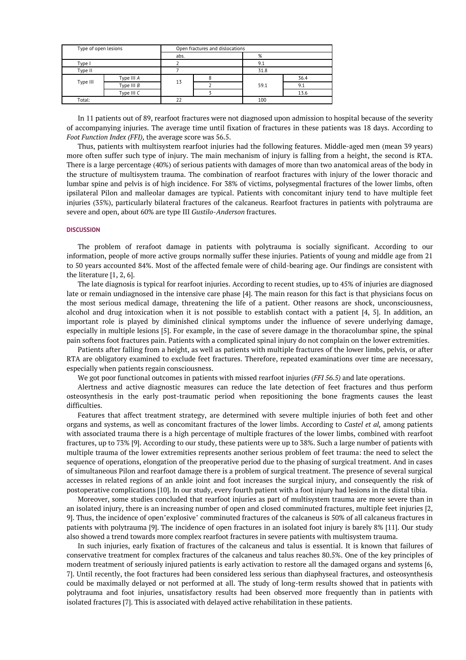| Type of open lesions |              | Open fractures and dislocations |  |      |      |
|----------------------|--------------|---------------------------------|--|------|------|
|                      |              | abs.                            |  | %    |      |
| Type I               |              |                                 |  | 9.1  |      |
| Type II              |              |                                 |  | 31.8 |      |
| Type III             | Type III A   | 13                              |  | 59.1 | 36.4 |
|                      | Type III $B$ |                                 |  |      | 9.1  |
|                      | Type III C   |                                 |  |      | 13.6 |
| Total:               |              | 22                              |  | 100  |      |

In 11 patients out of 89, rearfoot fractures were not diagnosed upon admission to hospital because of the severity of accompanying injuries. The average time until fixation of fractures in these patients was 18 days. According to *Foot Function Index (FFI),* the average score was 56.5.

Thus, patients with multisystem rearfoot injuries had the following features. Middle-aged men (mean 39 years) more often suffer such type of injury. The main mechanism of injury is falling from a height, the second is RTA. There is a large percentage (40%) of serious patients with damages of more than two anatomical areas of the body in the structure of multisystem trauma. The combination of rearfoot fractures with injury of the lower thoracic and lumbar spine and pelvis is of high incidence. For 38% of victims, polysegmental fractures of the lower limbs, often ipsilateral Pilon and malleolar damages are typical. Patients with concomitant injury tend to have multiple feet injuries (35%), particularly bilateral fractures of the calcaneus. Rearfoot fractures in patients with polytrauma are severe and open, about 60% are type III *Gustilo-Anderson* fractures.

### **DISCUSSION**

The problem of rerafoot damage in patients with polytrauma is socially significant. According to our information, people of more active groups normally suffer these injuries. Patients of young and middle age from 21 to 50 years accounted 84%. Most of the affected female were of child-bearing age. Our findings are consistent with the literature [1, 2, 6].

The late diagnosis is typical for rearfoot injuries. According to recent studies, up to 45% of injuries are diagnosed late or remain undiagnosed in the intensive care phase [4]. The main reason for this fact is that physicians focus on the most serious medical damage, threatening the life of a patient. Other reasons are shock, unconsciousness, alcohol and drug intoxication when it is not possible to establish contact with a patient [4, 5]. In addition, an important role is played by diminished clinical symptoms under the influence of severe underlying damage, especially in multiple lesions [5]. For example, in the case of severe damage in the thoracolumbar spine, the spinal pain softens foot fractures pain. Patients with a complicated spinal injury do not complain on the lower extremities.

Patients after falling from a height, as well as patients with multiple fractures of the lower limbs, pelvis, or after RTA are obligatory examined to exclude feet fractures. Therefore, repeated examinations over time are necessary, especially when patients regain consciousness.

We got poor functional outcomes in patients with missed rearfoot injuries (*FFI 56.5)* and late operations.

Alertness and active diagnostic measures can reduce the late detection of feet fractures and thus perform osteosynthesis in the early post-traumatic period when repositioning the bone fragments causes the least difficulties.

Features that affect treatment strategy, are determined with severe multiple injuries of both feet and other organs and systems, as well as concomitant fractures of the lower limbs. According to *Castel et al,* among patients with associated trauma there is a high percentage of multiple fractures of the lower limbs, combined with rearfoot fractures, up to 73% [9]. According to our study, these patients were up to 38%. Such a large number of patients with multiple trauma of the lower extremities represents another serious problem of feet trauma: the need to select the sequence of operations, elongation of the preoperative period due to the phasing of surgical treatment. And in cases of simultaneous Pilon and rearfoot damage there is a problem of surgical treatment. The presence of several surgical accesses in related regions of an ankle joint and foot increases the surgical injury, and consequently the risk of postoperative complications [10]. In our study, every fourth patient with a foot injury had lesions in the distal tibia.

Moreover, some studies concluded that rearfoot injuries as part of multisystem trauma are more severe than in an isolated injury, there is an increasing number of open and closed comminuted fractures, multiple feet injuries [2, 9]. Thus, the incidence of open"explosive" comminuted fractures of the calcaneus is 50% of all calcaneus fractures in patients with polytrauma [9]. The incidence of open fractures in an isolated foot injury is barely 8% [11]. Our study also showed a trend towards more complex rearfoot fractures in severe patients with multisystem trauma.

In such injuries, early fixation of fractures of the calcaneus and talus is essential. It is known that failures of conservative treatment for complex fractures of the calcaneus and talus reaches 80.5%. One of the key principles of modern treatment of seriously injured patients is early activation to restore all the damaged organs and systems [6, 7]. Until recently, the foot fractures had been considered less serious than diaphyseal fractures, and osteosynthesis could be maximally delayed or not performed at all. The study of long-term results showed that in patients with polytrauma and foot injuries, unsatisfactory results had been observed more frequently than in patients with isolated fractures [7]. This is associated with delayed active rehabilitation in these patients.